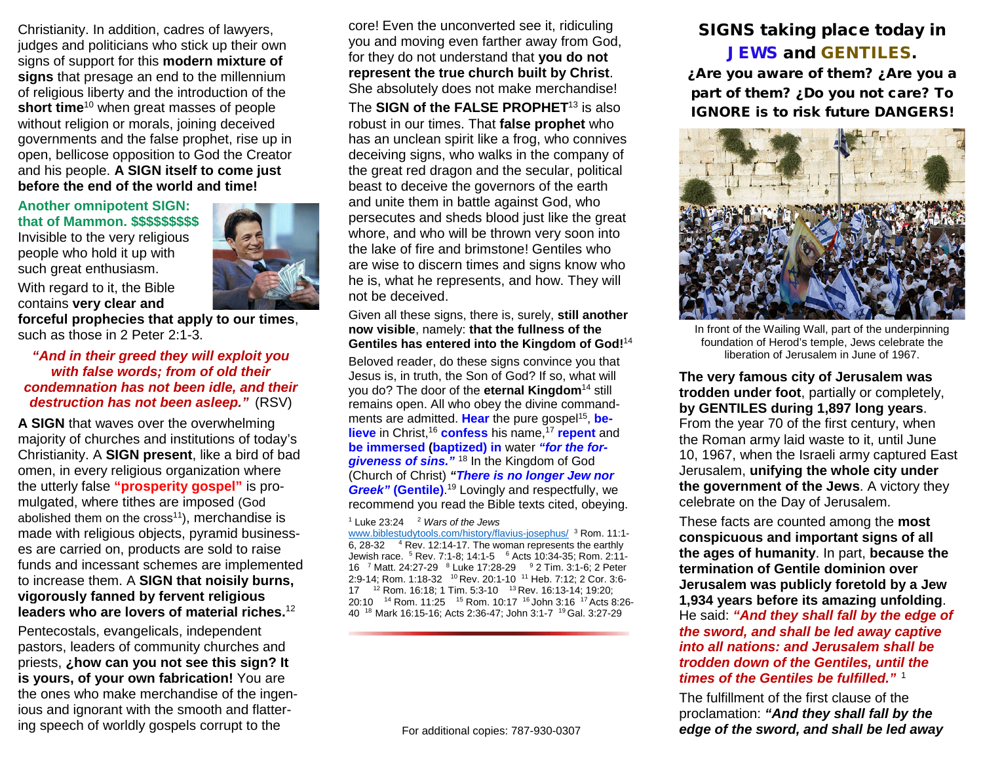Christianity. In addition, cadres of lawyers, judges and politicians who stick up their own signs of support for this **modern mixture of signs** that presage an end to the millennium of religious liberty and the introduction of the **short time**<sup>10</sup> when great masses of people without religion or morals, joining deceived governments and the false prophet, rise up in open, bellicose opposition to God the Creator and his people. **A SIGN itself to come just before the end of the world and time!**

## **Another omnipotent SIGN: that of Mammon. \$\$\$\$\$\$\$\$\$**

Invisible to the very religious people who hold it up with such great enthusiasm.



**forceful prophecies that apply to our times**, such as those in 2 Peter 2:1-3.

### *"And in their greed they will exploit you with false words; from of old their condemnation has not been idle, and their destruction has not been asleep."* (RSV)

**A SIGN** that waves over the overwhelming majority of churches and institutions of today's Christianity. A **SIGN present**, like a bird of bad omen, in every religious organization where the utterly false **"prosperity gospel"** is promulgated, where tithes are imposed (God abolished them on the cross $11$ ), merchandise is made with religious objects, pyramid businesses are carried on, products are sold to raise funds and incessant schemes are implemented to increase them. A **SIGN that noisily burns, vigorously fanned by fervent religious leaders who are lovers of material riches.** 12

Pentecostals, evangelicals, independent pastors, leaders of community churches and priests, **¿how can you not see this sign? It is yours, of your own fabrication!** You are the ones who make merchandise of the ingenious and ignorant with the smooth and flattering speech of worldly gospels corrupt to the

core! Even the unconverted see it, ridiculing you and moving even farther away from God, for they do not understand that **you do not represent the true church built by Christ**. She absolutely does not make merchandise!

The **SIGN of the FALSE PROPHET**<sup>13</sup> is also robust in our times. That **false prophet** who has an unclean spirit like a frog, who connives deceiving signs, who walks in the company of the great red dragon and the secular, political beast to deceive the governors of the earth and unite them in battle against God, who persecutes and sheds blood just like the great whore, and who will be thrown very soon into the lake of fire and brimstone! Gentiles who are wise to discern times and signs know who he is, what he represents, and how. They will not be deceived.

#### Given all these signs, there is, surely, **still another now visible**, namely: **that the fullness of the Gentiles has entered into the Kingdom of God!** 14

Beloved reader, do these signs convince you that Jesus is, in truth, the Son of God? If so, what will you do? The door of the **eternal Kingdom**<sup>14</sup> still remains open. All who obey the divine commandments are admitted. **Hear** the pure gospel<sup>15</sup>, be**lieve** in Christ,<sup>16</sup> **confess** his name,<sup>17</sup> **repent** and **be immersed (baptized) in** water *"for the forgiveness of sins."* <sup>18</sup> In the Kingdom of God (Church of Christ) *"There is no longer Jew nor Greek"* **(Gentile)**. <sup>19</sup> Lovingly and respectfully, we recommend you read the Bible texts cited, obeying.

#### <sup>1</sup> Luke 23:24 2 *Wars of the Jews*

[www.biblestudytools.com/history/flavius-josephus/](http://www.biblestudytools.com/history/flavius-josephus/) <sup>3</sup> Rom. 11:1- 6, 28-32  $-4$  Rev. 12:14-17. The woman represents the earthly Jewish race. <sup>5</sup> Rev. 7:1-8; 14:1-5 <sup>6</sup> Acts 10:34-35; Rom. 2:11-16 <sup>7</sup> Matt. 24:27-29 <sup>8</sup> Luke 17:28-29 <sup>9</sup> 2 Tim. 3:1-6; 2 Peter 2:9-14; Rom. 1:18-32 10 Rev. 20:1-10 11 Heb. 7:12; 2 Cor. 3:6- 17 12 Rom. 16:18; 1 Tim. 5:3-10 13 Rev. 16:13-14; 19:20; 20:10 <sup>14</sup> Rom. 11:25 <sup>15</sup> Rom. 10:17 <sup>16</sup> John 3:16 <sup>17</sup> Acts 8:26-40 18 Mark 16:15-16; Acts 2:36-47; John 3:1-7 19 Gal. 3:27-29

#### For additional copies: 787-930-0307

# SIGNS taking place today in JEWS and GENTILES.

¿Are you aware of them? ¿Are you a part of them? ¿Do you not care? To IGNORE is to risk future DANGERS!



In front of the Wailing Wall, part of the underpinning foundation of Herod's temple, Jews celebrate the liberation of Jerusalem in June of 1967.

**The very famous city of Jerusalem was trodden under foot**, partially or completely, **by GENTILES during 1,897 long years**. From the year 70 of the first century, when the Roman army laid waste to it, until June 10, 1967, when the Israeli army captured East Jerusalem, **unifying the whole city under the government of the Jews**. A victory they celebrate on the Day of Jerusalem.

These facts are counted among the **most conspicuous and important signs of all the ages of humanity**. In part, **because the termination of Gentile dominion over Jerusalem was publicly foretold by a Jew 1,934 years before its amazing unfolding**. He said: *"And they shall fall by the edge of the sword, and shall be led away captive into all nations: and Jerusalem shall be trodden down of the Gentiles, until the times of the Gentiles be fulfilled."* <sup>1</sup>

The fulfillment of the first clause of the proclamation: *"And they shall fall by the edge of the sword, and shall be led away*